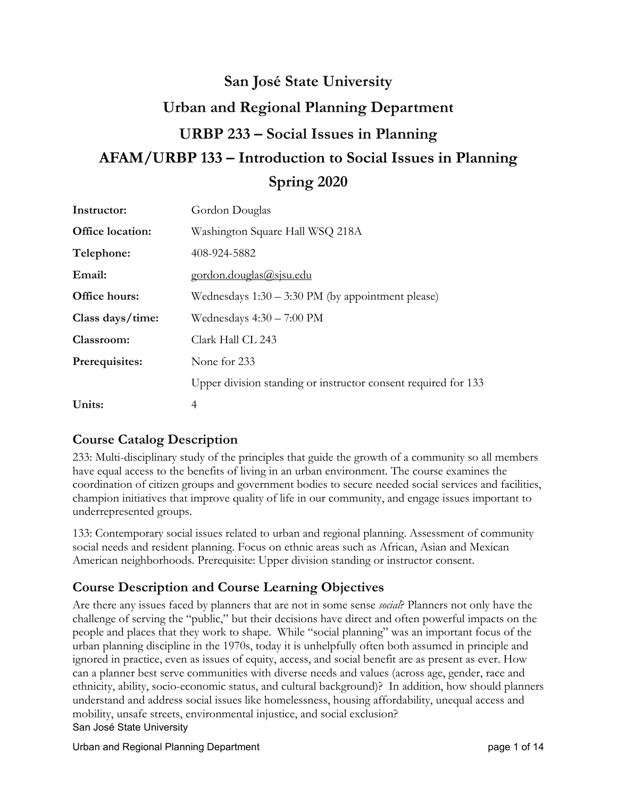# **San José State University Urban and Regional Planning Department URBP 233 – Social Issues in Planning AFAM/URBP 133 – Introduction to Social Issues in Planning Spring 2020**

| Instructor:      | Gordon Douglas                                                 |  |  |  |
|------------------|----------------------------------------------------------------|--|--|--|
| Office location: | Washington Square Hall WSQ 218A                                |  |  |  |
| Telephone:       | 408-924-5882                                                   |  |  |  |
| Email:           | <u>gordon.douglas@sjsu.edu</u>                                 |  |  |  |
| Office hours:    | Wednesdays $1:30 - 3:30 \text{ PM}$ (by appointment please)    |  |  |  |
| Class days/time: | Wednesdays $4:30 - 7:00 \text{ PM}$                            |  |  |  |
| Classroom:       | Clark Hall CL 243                                              |  |  |  |
| Prerequisites:   | None for 233                                                   |  |  |  |
|                  | Upper division standing or instructor consent required for 133 |  |  |  |
| Units:           | 4                                                              |  |  |  |

## **Course Catalog Description**

233: Multi-disciplinary study of the principles that guide the growth of a community so all members have equal access to the benefits of living in an urban environment. The course examines the coordination of citizen groups and government bodies to secure needed social services and facilities, champion initiatives that improve quality of life in our community, and engage issues important to underrepresented groups.

133: Contemporary social issues related to urban and regional planning. Assessment of community social needs and resident planning. Focus on ethnic areas such as African, Asian and Mexican American neighborhoods. Prerequisite: Upper division standing or instructor consent.

## **Course Description and Course Learning Objectives**

San José State University Are there any issues faced by planners that are not in some sense *social*? Planners not only have the challenge of serving the "public," but their decisions have direct and often powerful impacts on the people and places that they work to shape. While "social planning" was an important focus of the urban planning discipline in the 1970s, today it is unhelpfully often both assumed in principle and ignored in practice, even as issues of equity, access, and social benefit are as present as ever. How can a planner best serve communities with diverse needs and values (across age, gender, race and ethnicity, ability, socio-economic status, and cultural background)? In addition, how should planners understand and address social issues like homelessness, housing affordability, unequal access and mobility, unsafe streets, environmental injustice, and social exclusion?

Urban and Regional Planning Department **page 1** of 14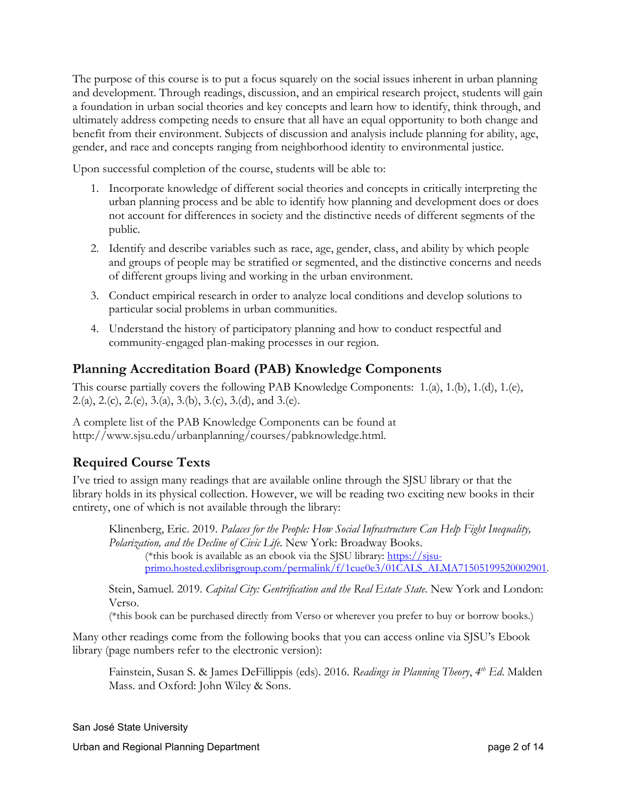The purpose of this course is to put a focus squarely on the social issues inherent in urban planning and development. Through readings, discussion, and an empirical research project, students will gain a foundation in urban social theories and key concepts and learn how to identify, think through, and ultimately address competing needs to ensure that all have an equal opportunity to both change and benefit from their environment. Subjects of discussion and analysis include planning for ability, age, gender, and race and concepts ranging from neighborhood identity to environmental justice.

Upon successful completion of the course, students will be able to:

- 1. Incorporate knowledge of different social theories and concepts in critically interpreting the urban planning process and be able to identify how planning and development does or does not account for differences in society and the distinctive needs of different segments of the public.
- 2. Identify and describe variables such as race, age, gender, class, and ability by which people and groups of people may be stratified or segmented, and the distinctive concerns and needs of different groups living and working in the urban environment.
- 3. Conduct empirical research in order to analyze local conditions and develop solutions to particular social problems in urban communities.
- 4. Understand the history of participatory planning and how to conduct respectful and community-engaged plan-making processes in our region.

## **Planning Accreditation Board (PAB) Knowledge Components**

This course partially covers the following PAB Knowledge Components: 1.(a), 1.(b), 1.(d), 1.(e), 2.(a), 2.(c), 2.(e), 3.(a), 3.(b), 3.(c), 3.(d), and 3.(e).

A complete list of the PAB Knowledge Components can be found at [http://www.sjsu.edu/urbanplanning/courses/pabknowledge.html.](http://www.sjsu.edu/urbanplanning/courses/pabknowledge.html)

## **Required Course Texts**

I've tried to assign many readings that are available online through the SJSU library or that the library holds in its physical collection. However, we will be reading two exciting new books in their entirety, one of which is not available through the library:

Klinenberg, Eric. 2019. *Palaces for the People: How Social Infrastructure Can Help Fight Inequality, Polarization, and the Decline of Civic Life.* New York: Broadway Books.

(\*this book is available as an ebook via the SJSU library: [https://sjsu](https://sjsu-primo.hosted.exlibrisgroup.com/permalink/f/1cue0e3/01CALS_ALMA71505199520002901)[primo.hosted.exlibrisgroup.com/permalink/f/1cue0e3/01CALS\\_ALMA71505199520002901.](https://sjsu-primo.hosted.exlibrisgroup.com/permalink/f/1cue0e3/01CALS_ALMA71505199520002901)

Stein, Samuel. 2019. *Capital City: Gentrification and the Real Estate State*. New York and London: Verso.

(\*this book can be purchased directly from Verso or wherever you prefer to buy or borrow books.)

Many other readings come from the following books that you can access online via SJSU's Ebook library (page numbers refer to the electronic version):

Fainstein, Susan S. & James DeFillippis (eds). 2016. *Readings in Planning Theory*, *4th Ed*. Malden Mass. and Oxford: John Wiley & Sons.

San José State University

Urban and Regional Planning Department **page 2** of 14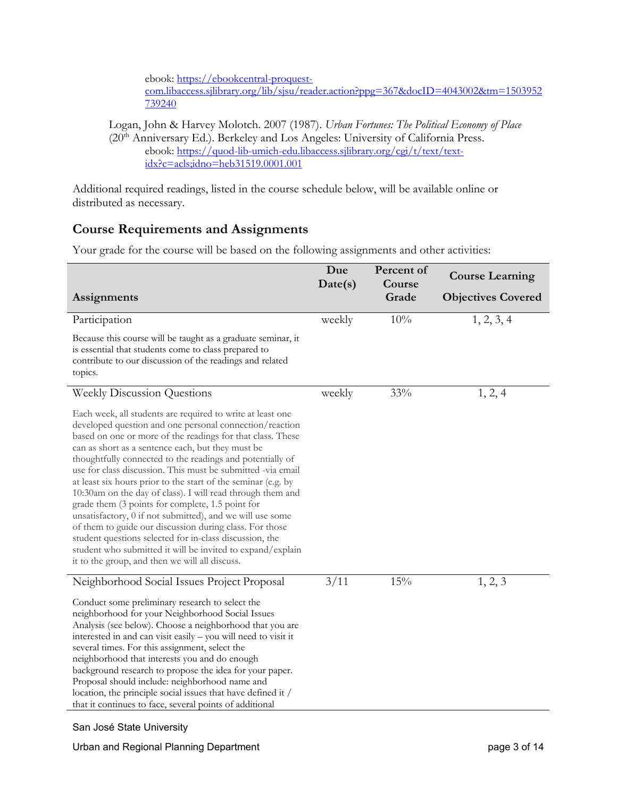ebook: [https://ebookcentral-proquest-](https://ebookcentral-proquest-com.libaccess.sjlibrary.org/lib/sjsu/reader.action?ppg=367&docID=4043002&tm=1503952739240)

[com.libaccess.sjlibrary.org/lib/sjsu/reader.action?ppg=367&docID=4043002&tm=1503952](https://ebookcentral-proquest-com.libaccess.sjlibrary.org/lib/sjsu/reader.action?ppg=367&docID=4043002&tm=1503952739240) [739240](https://ebookcentral-proquest-com.libaccess.sjlibrary.org/lib/sjsu/reader.action?ppg=367&docID=4043002&tm=1503952739240)

Logan, John & Harvey Molotch. 2007 (1987). *Urban Fortunes: The Political Economy of Place* (20th Anniversary Ed.). Berkeley and Los Angeles: University of California Press. ebook: [https://quod-lib-umich-edu.libaccess.sjlibrary.org/cgi/t/text/text](https://quod-lib-umich-edu.libaccess.sjlibrary.org/cgi/t/text/text-idx?c=acls;idno=heb31519.0001.001)[idx?c=acls;idno=heb31519.0001.001](https://quod-lib-umich-edu.libaccess.sjlibrary.org/cgi/t/text/text-idx?c=acls;idno=heb31519.0001.001)

Additional required readings, listed in the course schedule below, will be available online or distributed as necessary.

## **Course Requirements and Assignments**

Your grade for the course will be based on the following assignments and other activities:

|                                                                                                                                                                                                                                                                                                                                                                                                                                                                                                                                                                                                                                                                                                                                                                                                                                                            | Due<br>Date(s) | Percent of<br>Course | <b>Course Learning</b>    |
|------------------------------------------------------------------------------------------------------------------------------------------------------------------------------------------------------------------------------------------------------------------------------------------------------------------------------------------------------------------------------------------------------------------------------------------------------------------------------------------------------------------------------------------------------------------------------------------------------------------------------------------------------------------------------------------------------------------------------------------------------------------------------------------------------------------------------------------------------------|----------------|----------------------|---------------------------|
| Assignments                                                                                                                                                                                                                                                                                                                                                                                                                                                                                                                                                                                                                                                                                                                                                                                                                                                |                | Grade                | <b>Objectives Covered</b> |
| Participation                                                                                                                                                                                                                                                                                                                                                                                                                                                                                                                                                                                                                                                                                                                                                                                                                                              | weekly         | 10%                  | 1, 2, 3, 4                |
| Because this course will be taught as a graduate seminar, it<br>is essential that students come to class prepared to<br>contribute to our discussion of the readings and related<br>topics.                                                                                                                                                                                                                                                                                                                                                                                                                                                                                                                                                                                                                                                                |                |                      |                           |
| <b>Weekly Discussion Questions</b>                                                                                                                                                                                                                                                                                                                                                                                                                                                                                                                                                                                                                                                                                                                                                                                                                         | weekly         | 33%                  | 1, 2, 4                   |
| Each week, all students are required to write at least one<br>developed question and one personal connection/reaction<br>based on one or more of the readings for that class. These<br>can as short as a sentence each, but they must be<br>thoughtfully connected to the readings and potentially of<br>use for class discussion. This must be submitted -via email<br>at least six hours prior to the start of the seminar (e.g. by<br>10:30am on the day of class). I will read through them and<br>grade them (3 points for complete, 1.5 point for<br>unsatisfactory, 0 if not submitted), and we will use some<br>of them to guide our discussion during class. For those<br>student questions selected for in-class discussion, the<br>student who submitted it will be invited to expand/explain<br>it to the group, and then we will all discuss. |                |                      |                           |
| Neighborhood Social Issues Project Proposal                                                                                                                                                                                                                                                                                                                                                                                                                                                                                                                                                                                                                                                                                                                                                                                                                | 3/11           | 15%                  | 1, 2, 3                   |
| Conduct some preliminary research to select the<br>neighborhood for your Neighborhood Social Issues<br>Analysis (see below). Choose a neighborhood that you are<br>interested in and can visit easily – you will need to visit it<br>several times. For this assignment, select the<br>neighborhood that interests you and do enough<br>background research to propose the idea for your paper.<br>Proposal should include: neighborhood name and<br>location, the principle social issues that have defined it /<br>that it continues to face, several points of additional                                                                                                                                                                                                                                                                               |                |                      |                           |

#### San José State University

Urban and Regional Planning Department **page 3 of 14** and page 3 of 14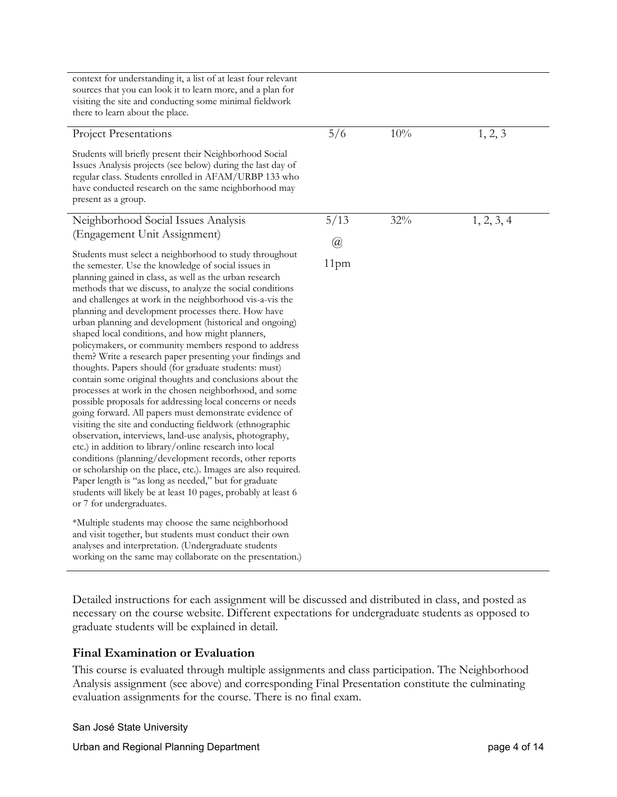| context for understanding it, a list of at least four relevant<br>sources that you can look it to learn more, and a plan for<br>visiting the site and conducting some minimal fieldwork<br>there to learn about the place.                                                                                                                                                                                                                                                                                                                                                                                                                                                                                                                                                                                                                                                                                                                                                                                                                                                                                                                        |                  |     |            |
|---------------------------------------------------------------------------------------------------------------------------------------------------------------------------------------------------------------------------------------------------------------------------------------------------------------------------------------------------------------------------------------------------------------------------------------------------------------------------------------------------------------------------------------------------------------------------------------------------------------------------------------------------------------------------------------------------------------------------------------------------------------------------------------------------------------------------------------------------------------------------------------------------------------------------------------------------------------------------------------------------------------------------------------------------------------------------------------------------------------------------------------------------|------------------|-----|------------|
| <b>Project Presentations</b>                                                                                                                                                                                                                                                                                                                                                                                                                                                                                                                                                                                                                                                                                                                                                                                                                                                                                                                                                                                                                                                                                                                      | 5/6              | 10% | 1, 2, 3    |
| Students will briefly present their Neighborhood Social<br>Issues Analysis projects (see below) during the last day of<br>regular class. Students enrolled in AFAM/URBP 133 who<br>have conducted research on the same neighborhood may<br>present as a group.                                                                                                                                                                                                                                                                                                                                                                                                                                                                                                                                                                                                                                                                                                                                                                                                                                                                                    |                  |     |            |
| Neighborhood Social Issues Analysis                                                                                                                                                                                                                                                                                                                                                                                                                                                                                                                                                                                                                                                                                                                                                                                                                                                                                                                                                                                                                                                                                                               | 5/13             | 32% | 1, 2, 3, 4 |
| (Engagement Unit Assignment)                                                                                                                                                                                                                                                                                                                                                                                                                                                                                                                                                                                                                                                                                                                                                                                                                                                                                                                                                                                                                                                                                                                      | $\omega$         |     |            |
| Students must select a neighborhood to study throughout<br>the semester. Use the knowledge of social issues in<br>planning gained in class, as well as the urban research<br>methods that we discuss, to analyze the social conditions<br>and challenges at work in the neighborhood vis-a-vis the<br>planning and development processes there. How have<br>urban planning and development (historical and ongoing)<br>shaped local conditions, and how might planners,<br>policymakers, or community members respond to address<br>them? Write a research paper presenting your findings and<br>thoughts. Papers should (for graduate students: must)<br>contain some original thoughts and conclusions about the<br>processes at work in the chosen neighborhood, and some<br>possible proposals for addressing local concerns or needs<br>going forward. All papers must demonstrate evidence of<br>visiting the site and conducting fieldwork (ethnographic<br>observation, interviews, land-use analysis, photography,<br>etc.) in addition to library/online research into local<br>conditions (planning/development records, other reports | 11 <sub>pm</sub> |     |            |
| or scholarship on the place, etc.). Images are also required.<br>Paper length is "as long as needed," but for graduate<br>students will likely be at least 10 pages, probably at least 6<br>or 7 for undergraduates.<br>*Multiple students may choose the same neighborhood<br>and visit together, but students must conduct their own<br>analyses and interpretation. (Undergraduate students<br>working on the same may collaborate on the presentation.)                                                                                                                                                                                                                                                                                                                                                                                                                                                                                                                                                                                                                                                                                       |                  |     |            |

Detailed instructions for each assignment will be discussed and distributed in class, and posted as necessary on the course website. Different expectations for undergraduate students as opposed to graduate students will be explained in detail.

#### **Final Examination or Evaluation**

This course is evaluated through multiple assignments and class participation. The Neighborhood Analysis assignment (see above) and corresponding Final Presentation constitute the culminating evaluation assignments for the course. There is no final exam.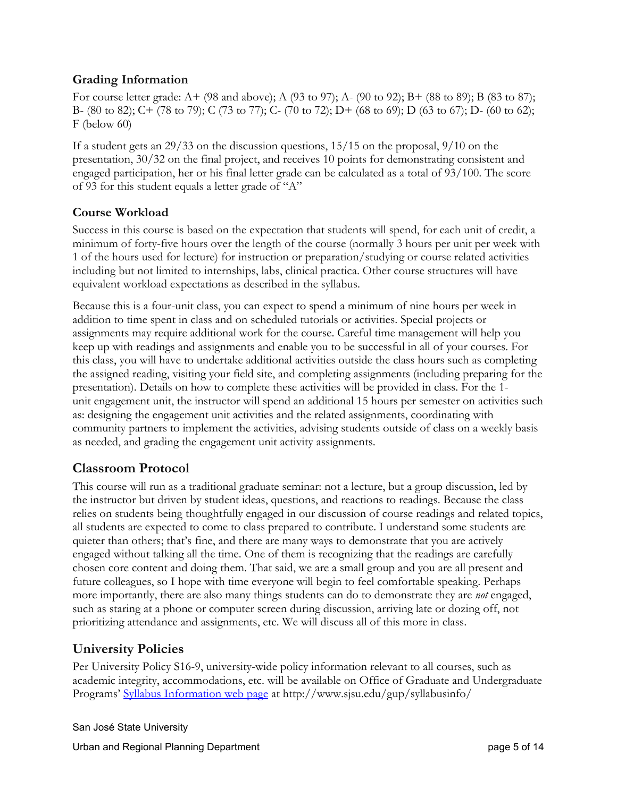## **Grading Information**

For course letter grade: A+ (98 and above); A (93 to 97); A- (90 to 92); B+ (88 to 89); B (83 to 87); B- (80 to 82); C+ (78 to 79); C (73 to 77); C- (70 to 72); D+ (68 to 69); D (63 to 67); D- (60 to 62); F (below 60)

If a student gets an 29/33 on the discussion questions, 15/15 on the proposal, 9/10 on the presentation, 30/32 on the final project, and receives 10 points for demonstrating consistent and engaged participation, her or his final letter grade can be calculated as a total of 93/100. The score of 93 for this student equals a letter grade of "A"

### **Course Workload**

Success in this course is based on the expectation that students will spend, for each unit of credit, a minimum of forty-five hours over the length of the course (normally 3 hours per unit per week with 1 of the hours used for lecture) for instruction or preparation/studying or course related activities including but not limited to internships, labs, clinical practica. Other course structures will have equivalent workload expectations as described in the syllabus.

Because this is a four-unit class, you can expect to spend a minimum of nine hours per week in addition to time spent in class and on scheduled tutorials or activities. Special projects or assignments may require additional work for the course. Careful time management will help you keep up with readings and assignments and enable you to be successful in all of your courses. For this class, you will have to undertake additional activities outside the class hours such as completing the assigned reading, visiting your field site, and completing assignments (including preparing for the presentation). Details on how to complete these activities will be provided in class. For the 1 unit engagement unit, the instructor will spend an additional 15 hours per semester on activities such as: designing the engagement unit activities and the related assignments, coordinating with community partners to implement the activities, advising students outside of class on a weekly basis as needed, and grading the engagement unit activity assignments.

## **Classroom Protocol**

This course will run as a traditional graduate seminar: not a lecture, but a group discussion, led by the instructor but driven by student ideas, questions, and reactions to readings. Because the class relies on students being thoughtfully engaged in our discussion of course readings and related topics, all students are expected to come to class prepared to contribute. I understand some students are quieter than others; that's fine, and there are many ways to demonstrate that you are actively engaged without talking all the time. One of them is recognizing that the readings are carefully chosen core content and doing them. That said, we are a small group and you are all present and future colleagues, so I hope with time everyone will begin to feel comfortable speaking. Perhaps more importantly, there are also many things students can do to demonstrate they are *not* engaged, such as staring at a phone or computer screen during discussion, arriving late or dozing off, not prioritizing attendance and assignments, etc. We will discuss all of this more in class.

## **University Policies**

Per University Policy S16-9, university-wide policy information relevant to all courses, such as academic integrity, accommodations, etc. will be available on Office of Graduate and Undergraduate Programs' [Syllabus Information web page](http://www.sjsu.edu/gup/syllabusinfo/) at http://www.sjsu.edu/gup/syllabusinfo/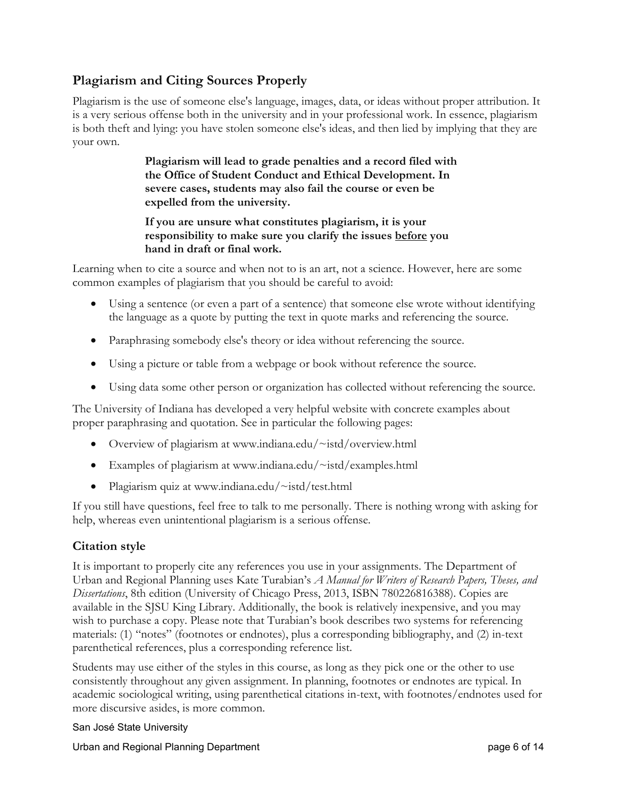## **Plagiarism and Citing Sources Properly**

Plagiarism is the use of someone else's language, images, data, or ideas without proper attribution. It is a very serious offense both in the university and in your professional work. In essence, plagiarism is both theft and lying: you have stolen someone else's ideas, and then lied by implying that they are your own.

> **Plagiarism will lead to grade penalties and a record filed with the Office of Student Conduct and Ethical Development. In severe cases, students may also fail the course or even be expelled from the university.**

**If you are unsure what constitutes plagiarism, it is your responsibility to make sure you clarify the issues before you hand in draft or final work.**

Learning when to cite a source and when not to is an art, not a science. However, here are some common examples of plagiarism that you should be careful to avoid:

- Using a sentence (or even a part of a sentence) that someone else wrote without identifying the language as a quote by putting the text in quote marks and referencing the source.
- Paraphrasing somebody else's theory or idea without referencing the source.
- Using a picture or table from a webpage or book without reference the source.
- Using data some other person or organization has collected without referencing the source.

The University of Indiana has developed a very helpful website with concrete examples about proper paraphrasing and quotation. See in particular the following pages:

- Overview of plagiarism at [www.indiana.edu/~istd/overview.html](http://www.indiana.edu/%7Eistd/overview.html)
- Examples of plagiarism at [www.indiana.edu/~istd/examples.html](http://www.indiana.edu/%7Eistd/examples.html)
- Plagiarism quiz at [www.indiana.edu/~istd/test.html](http://www.indiana.edu/%7Eistd/test.html)

If you still have questions, feel free to talk to me personally. There is nothing wrong with asking for help, whereas even unintentional plagiarism is a serious offense.

#### **Citation style**

It is important to properly cite any references you use in your assignments. The Department of Urban and Regional Planning uses Kate Turabian's *A Manual for Writers of Research Papers, Theses, and Dissertations*, 8th edition (University of Chicago Press, 2013, ISBN 780226816388). Copies are available in the SJSU King Library. Additionally, the book is relatively inexpensive, and you may wish to purchase a copy. Please note that Turabian's book describes two systems for referencing materials: (1) "notes" (footnotes or endnotes), plus a corresponding bibliography, and (2) in-text parenthetical references, plus a corresponding reference list.

Students may use either of the styles in this course, as long as they pick one or the other to use consistently throughout any given assignment. In planning, footnotes or endnotes are typical. In academic sociological writing, using parenthetical citations in-text, with footnotes/endnotes used for more discursive asides, is more common.

#### San José State University

Urban and Regional Planning Department **page 6 of 14** and  $P$  and  $P$  and  $P$  and  $P$  and  $P$  and  $P$  and  $P$  and  $P$  and  $P$  and  $P$  and  $P$  and  $P$  and  $P$  and  $P$  and  $P$  and  $P$  and  $P$  and  $P$  and  $P$  and  $P$  and  $P$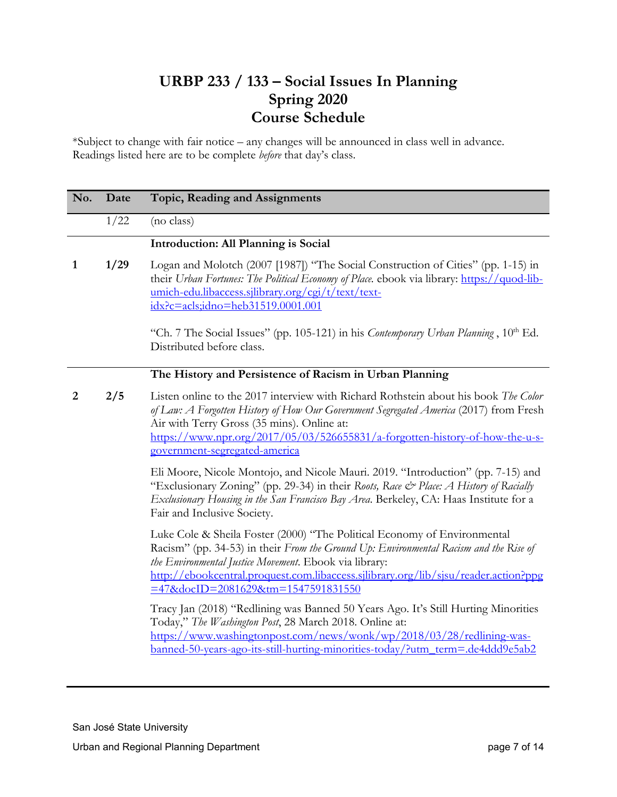## **URBP 233 / 133 – Social Issues In Planning Spring 2020 Course Schedule**

\*Subject to change with fair notice – any changes will be announced in class well in advance. Readings listed here are to be complete *before* that day's class.

| No. | Date | Topic, Reading and Assignments                                                                                                                                                                                                                                                                                                                                                                                                                                                                                                                                                                                                                                      |
|-----|------|---------------------------------------------------------------------------------------------------------------------------------------------------------------------------------------------------------------------------------------------------------------------------------------------------------------------------------------------------------------------------------------------------------------------------------------------------------------------------------------------------------------------------------------------------------------------------------------------------------------------------------------------------------------------|
|     | 1/22 | (no class)                                                                                                                                                                                                                                                                                                                                                                                                                                                                                                                                                                                                                                                          |
|     |      | <b>Introduction: All Planning is Social</b>                                                                                                                                                                                                                                                                                                                                                                                                                                                                                                                                                                                                                         |
| 1   | 1/29 | Logan and Molotch (2007 [1987]) "The Social Construction of Cities" (pp. 1-15) in<br>their Urban Fortunes: The Political Economy of Place. ebook via library: https://quod-lib-<br>umich-edu.libaccess.sjlibrary.org/cgi/t/text/text-<br>$idx?c = acts; idno = heb31519.0001.001$<br>"Ch. 7 The Social Issues" (pp. 105-121) in his Contemporary Urban Planning, 10 <sup>th</sup> Ed.<br>Distributed before class.                                                                                                                                                                                                                                                  |
|     |      | The History and Persistence of Racism in Urban Planning                                                                                                                                                                                                                                                                                                                                                                                                                                                                                                                                                                                                             |
| 2   | 2/5  | Listen online to the 2017 interview with Richard Rothstein about his book The Color<br>of Law: A Forgotten History of How Our Government Segregated America (2017) from Fresh<br>Air with Terry Gross (35 mins). Online at:<br>https://www.npr.org/2017/05/03/526655831/a-forgotten-history-of-how-the-u-s-<br>government-segregated-america<br>Eli Moore, Nicole Montojo, and Nicole Mauri. 2019. "Introduction" (pp. 7-15) and<br>"Exclusionary Zoning" (pp. 29-34) in their Roots, Race & Place: A History of Racially<br>Exclusionary Housing in the San Francisco Bay Area. Berkeley, CA: Haas Institute for a<br>Fair and Inclusive Society.                  |
|     |      | Luke Cole & Sheila Foster (2000) "The Political Economy of Environmental<br>Racism" (pp. 34-53) in their From the Ground Up: Environmental Racism and the Rise of<br>the Environmental Justice Movement. Ebook via library:<br>http://ebookcentral.proquest.com.libaccess.sjlibrary.org/lib/sjsu/reader.action?ppg<br>=47&docID=2081629&tm=1547591831550<br>Tracy Jan (2018) "Redlining was Banned 50 Years Ago. It's Still Hurting Minorities<br>Today," The Washington Post, 28 March 2018. Online at:<br>https://www.washingtonpost.com/news/wonk/wp/2018/03/28/redlining-was-<br>banned-50-years-ago-its-still-hurting-minorities-today/?utm_term=.de4ddd9e5ab2 |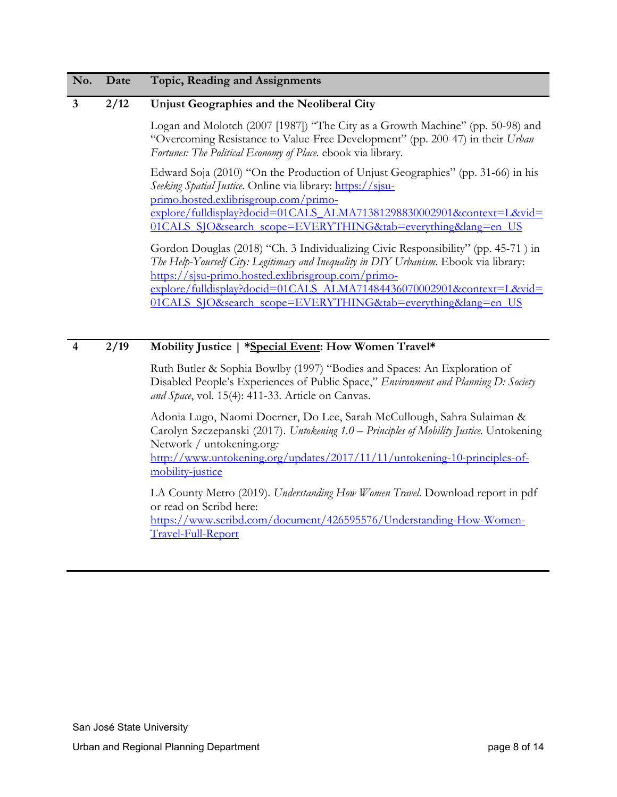#### **3 2/12 Unjust Geographies and the Neoliberal City**

Logan and Molotch (2007 [1987]) "The City as a Growth Machine" (pp. 50-98) and "Overcoming Resistance to Value-Free Development" (pp. 200-47) in their *Urban Fortunes: The Political Economy of Place.* ebook via library.

Edward Soja (2010) "On the Production of Unjust Geographies" (pp. 31-66) in his *Seeking Spatial Justice*. Online via library: https://sisu[primo.hosted.exlibrisgroup.com/primo](https://sjsu-primo.hosted.exlibrisgroup.com/primo-explore/fulldisplay?docid=01CALS_ALMA71381298830002901&context=L&vid=01CALS_SJO&search_scope=EVERYTHING&tab=everything&lang=en_US)[explore/fulldisplay?docid=01CALS\\_ALMA71381298830002901&context=L&vid=](https://sjsu-primo.hosted.exlibrisgroup.com/primo-explore/fulldisplay?docid=01CALS_ALMA71381298830002901&context=L&vid=01CALS_SJO&search_scope=EVERYTHING&tab=everything&lang=en_US) [01CALS\\_SJO&search\\_scope=EVERYTHING&tab=everything&lang=en\\_US](https://sjsu-primo.hosted.exlibrisgroup.com/primo-explore/fulldisplay?docid=01CALS_ALMA71381298830002901&context=L&vid=01CALS_SJO&search_scope=EVERYTHING&tab=everything&lang=en_US)

Gordon Douglas (2018) "Ch. 3 Individualizing Civic Responsibility" (pp. 45-71 ) in *The Help-Yourself City: Legitimacy and Inequality in DIY Urbanism*. Ebook via library: [https://sjsu-primo.hosted.exlibrisgroup.com/primo](https://sjsu-primo.hosted.exlibrisgroup.com/primo-explore/fulldisplay?docid=01CALS_ALMA71484436070002901&context=L&vid=01CALS_SJO&search_scope=EVERYTHING&tab=everything&lang=en_US)[explore/fulldisplay?docid=01CALS\\_ALMA71484436070002901&context=L&vid=](https://sjsu-primo.hosted.exlibrisgroup.com/primo-explore/fulldisplay?docid=01CALS_ALMA71484436070002901&context=L&vid=01CALS_SJO&search_scope=EVERYTHING&tab=everything&lang=en_US) 01CALS\_SJO&search\_scope=EVERYTHING&tab=everything&lang=en\_US

#### **4 2/19 Mobility Justice | \*Special Event: How Women Travel\***

Ruth Butler & Sophia Bowlby (1997) "Bodies and Spaces: An Exploration of Disabled People's Experiences of Public Space," *Environment and Planning D: Society and Space*, vol. 15(4): 411-33. Article on Canvas.

Adonia Lugo, Naomi Doerner, Do Lee, Sarah McCullough, Sahra Sulaiman & Carolyn Szczepanski (2017). *Untokening 1.0 – Principles of Mobility Justice.* Untokening Network / untokening.org*:*  [http://www.untokening.org/updates/2017/11/11/untokening-10-principles-of](http://www.untokening.org/updates/2017/11/11/untokening-10-principles-of-mobility-justice)[mobility-justice](http://www.untokening.org/updates/2017/11/11/untokening-10-principles-of-mobility-justice)

LA County Metro (2019). *Understanding How Women Travel*. Download report in pdf or read on Scribd here: [https://www.scribd.com/document/426595576/Understanding-How-Women-](https://www.scribd.com/document/426595576/Understanding-How-Women-Travel-Full-Report)[Travel-Full-Report](https://www.scribd.com/document/426595576/Understanding-How-Women-Travel-Full-Report)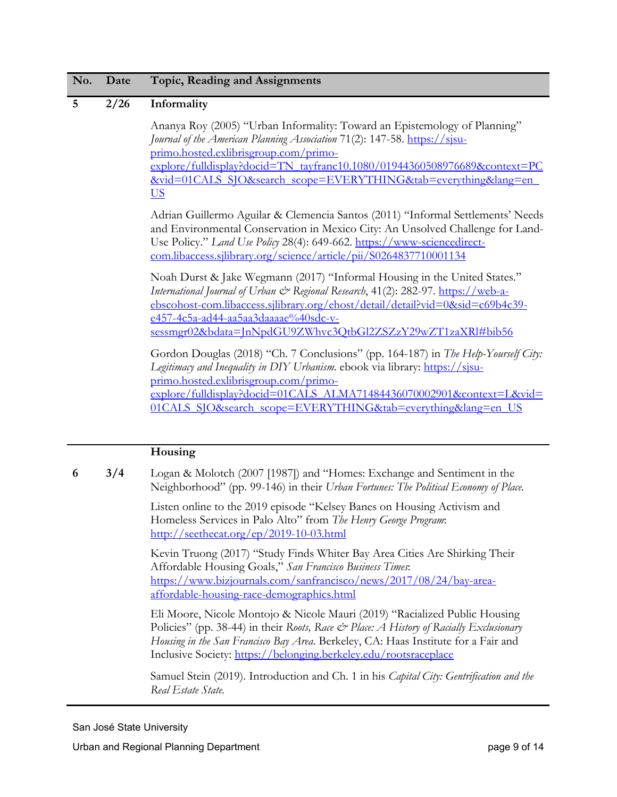#### **5 2/26 Informality**

Ananya Roy (2005) "Urban Informality: Toward an Epistemology of Planning" *Journal of the American Planning Association* 71(2): 147-58. **https://sisu**[primo.hosted.exlibrisgroup.com/primo](https://sjsu-primo.hosted.exlibrisgroup.com/primo-explore/fulldisplay?docid=TN_tayfranc10.1080/01944360508976689&context=PC&vid=01CALS_SJO&search_scope=EVERYTHING&tab=everything&lang=en_US)[explore/fulldisplay?docid=TN\\_tayfranc10.1080/01944360508976689&context=PC](https://sjsu-primo.hosted.exlibrisgroup.com/primo-explore/fulldisplay?docid=TN_tayfranc10.1080/01944360508976689&context=PC&vid=01CALS_SJO&search_scope=EVERYTHING&tab=everything&lang=en_US) [&vid=01CALS\\_SJO&search\\_scope=EVERYTHING&tab=everything&lang=en\\_](https://sjsu-primo.hosted.exlibrisgroup.com/primo-explore/fulldisplay?docid=TN_tayfranc10.1080/01944360508976689&context=PC&vid=01CALS_SJO&search_scope=EVERYTHING&tab=everything&lang=en_US) [US](https://sjsu-primo.hosted.exlibrisgroup.com/primo-explore/fulldisplay?docid=TN_tayfranc10.1080/01944360508976689&context=PC&vid=01CALS_SJO&search_scope=EVERYTHING&tab=everything&lang=en_US)

Adrian Guillermo Aguilar & Clemencia Santos (2011) "Informal Settlements' Needs and Environmental Conservation in Mexico City: An Unsolved Challenge for Land-Use Policy." *Land Use Policy* 28(4): 649-662. [https://www-sciencedirect](https://www-sciencedirect-com.libaccess.sjlibrary.org/science/article/pii/S0264837710001134)[com.libaccess.sjlibrary.org/science/article/pii/S0264837710001134](https://www-sciencedirect-com.libaccess.sjlibrary.org/science/article/pii/S0264837710001134)

Noah Durst & Jake Wegmann (2017) "Informal Housing in the United States." *International Journal of Urban & Regional Research*, 41(2): 282-97. [https://web-a](https://web-a-ebscohost-com.libaccess.sjlibrary.org/ehost/detail/detail?vid=0&sid=c69b4c39-e457-4c5a-ad44-aa5aa3daaaae%40sdc-v-sessmgr02&bdata=JnNpdGU9ZWhvc3QtbGl2ZSZzY29wZT1zaXRl#bib56)[ebscohost-com.libaccess.sjlibrary.org/ehost/detail/detail?vid=0&sid=c69b4c39](https://web-a-ebscohost-com.libaccess.sjlibrary.org/ehost/detail/detail?vid=0&sid=c69b4c39-e457-4c5a-ad44-aa5aa3daaaae%40sdc-v-sessmgr02&bdata=JnNpdGU9ZWhvc3QtbGl2ZSZzY29wZT1zaXRl#bib56) [e457-4c5a-ad44-aa5aa3daaaae%40sdc-v](https://web-a-ebscohost-com.libaccess.sjlibrary.org/ehost/detail/detail?vid=0&sid=c69b4c39-e457-4c5a-ad44-aa5aa3daaaae%40sdc-v-sessmgr02&bdata=JnNpdGU9ZWhvc3QtbGl2ZSZzY29wZT1zaXRl#bib56)[sessmgr02&bdata=JnNpdGU9ZWhvc3QtbGl2ZSZzY29wZT1zaXRl#bib56](https://web-a-ebscohost-com.libaccess.sjlibrary.org/ehost/detail/detail?vid=0&sid=c69b4c39-e457-4c5a-ad44-aa5aa3daaaae%40sdc-v-sessmgr02&bdata=JnNpdGU9ZWhvc3QtbGl2ZSZzY29wZT1zaXRl#bib56)

Gordon Douglas (2018) "Ch. 7 Conclusions" (pp. 164-187) in *The Help-Yourself City: Legitimacy and Inequality in DIY Urbanism*. ebook via library: [https://sjsu](https://sjsu-primo.hosted.exlibrisgroup.com/primo-explore/fulldisplay?docid=01CALS_ALMA71484436070002901&context=L&vid=01CALS_SJO&search_scope=EVERYTHING&tab=everything&lang=en_US)[primo.hosted.exlibrisgroup.com/primo](https://sjsu-primo.hosted.exlibrisgroup.com/primo-explore/fulldisplay?docid=01CALS_ALMA71484436070002901&context=L&vid=01CALS_SJO&search_scope=EVERYTHING&tab=everything&lang=en_US)[explore/fulldisplay?docid=01CALS\\_ALMA71484436070002901&context=L&vid=](https://sjsu-primo.hosted.exlibrisgroup.com/primo-explore/fulldisplay?docid=01CALS_ALMA71484436070002901&context=L&vid=01CALS_SJO&search_scope=EVERYTHING&tab=everything&lang=en_US) 01CALS\_SJO&search\_scope=EVERYTHING&tab=everything&lang=en\_US

#### **Housing**

**6 3/4** Logan & Molotch (2007 [1987]) and "Homes: Exchange and Sentiment in the Neighborhood" (pp. 99-146) in their *Urban Fortunes: The Political Economy of Place.*

> Listen online to the 2019 episode "Kelsey Banes on Housing Activism and Homeless Services in Palo Alto" from *The Henry George Program*: <http://seethecat.org/ep/2019-10-03.html>

Kevin Truong (2017) "Study Finds Whiter Bay Area Cities Are Shirking Their Affordable Housing Goals," *San Francisco Business Times*: [https://www.bizjournals.com/sanfrancisco/news/2017/08/24/bay-area](https://www.bizjournals.com/sanfrancisco/news/2017/08/24/bay-area-affordable-housing-race-demographics.html)[affordable-housing-race-demographics.html](https://www.bizjournals.com/sanfrancisco/news/2017/08/24/bay-area-affordable-housing-race-demographics.html)

Eli Moore, Nicole Montojo & Nicole Mauri (2019) "Racialized Public Housing Policies" (pp. 38-44) in their *Roots, Race & Place: A History of Racially Exclusionary Housing in the San Francisco Bay Area*. Berkeley, CA: Haas Institute for a Fair and Inclusive Society:<https://belonging.berkeley.edu/rootsraceplace>

Samuel Stein (2019). Introduction and Ch. 1 in his *Capital City: Gentrification and the Real Estate State.*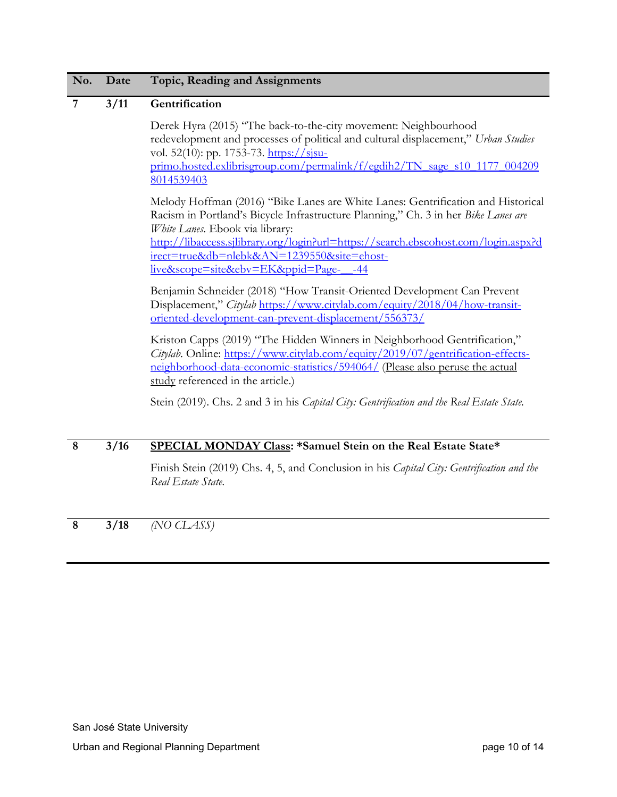#### **7 3/11 Gentrification**

Derek Hyra (2015) "The back-to-the-city movement: Neighbourhood redevelopment and processes of political and cultural displacement," *Urban Studies* vol. 52(10): pp. 1753-73. https://sisu[primo.hosted.exlibrisgroup.com/permalink/f/egdih2/TN\\_sage\\_s10\\_1177\\_004209](https://sjsu-primo.hosted.exlibrisgroup.com/permalink/f/egdih2/TN_sage_s10_1177_0042098014539403) [8014539403](https://sjsu-primo.hosted.exlibrisgroup.com/permalink/f/egdih2/TN_sage_s10_1177_0042098014539403)

Melody Hoffman (2016) "Bike Lanes are White Lanes: Gentrification and Historical Racism in Portland's Bicycle Infrastructure Planning," Ch. 3 in her *Bike Lanes are White Lanes*. Ebook via library: [http://libaccess.sjlibrary.org/login?url=https://search.ebscohost.com/login.aspx?d](http://libaccess.sjlibrary.org/login?url=https://search.ebscohost.com/login.aspx?direct=true&db=nlebk&AN=1239550&site=ehost-live&scope=site&ebv=EK&ppid=Page-__-44) [irect=true&db=nlebk&AN=1239550&site=ehost](http://libaccess.sjlibrary.org/login?url=https://search.ebscohost.com/login.aspx?direct=true&db=nlebk&AN=1239550&site=ehost-live&scope=site&ebv=EK&ppid=Page-__-44)[live&scope=site&ebv=EK&ppid=Page-\\_\\_-44](http://libaccess.sjlibrary.org/login?url=https://search.ebscohost.com/login.aspx?direct=true&db=nlebk&AN=1239550&site=ehost-live&scope=site&ebv=EK&ppid=Page-__-44)

Benjamin Schneider (2018) "How Transit-Oriented Development Can Prevent Displacement," *Citylab* [https://www.citylab.com/equity/2018/04/how-transit](https://www.citylab.com/equity/2018/04/how-transit-oriented-development-can-prevent-displacement/556373/)[oriented-development-can-prevent-displacement/556373/](https://www.citylab.com/equity/2018/04/how-transit-oriented-development-can-prevent-displacement/556373/)

Kriston Capps (2019) "The Hidden Winners in Neighborhood Gentrification," *Citylab*. Online: [https://www.citylab.com/equity/2019/07/gentrification-effects](https://www.citylab.com/equity/2019/07/gentrification-effects-neighborhood-data-economic-statistics/594064/)[neighborhood-data-economic-statistics/594064/](https://www.citylab.com/equity/2019/07/gentrification-effects-neighborhood-data-economic-statistics/594064/) (Please also peruse the actual study referenced in the article.)

Stein (2019). Chs. 2 and 3 in his *Capital City: Gentrification and the Real Estate State.*

#### **8 3/16 SPECIAL MONDAY Class: \*Samuel Stein on the Real Estate State\***

Finish Stein (2019) Chs. 4, 5, and Conclusion in his *Capital City: Gentrification and the Real Estate State*.

**8 3/18** *(NO CLASS)*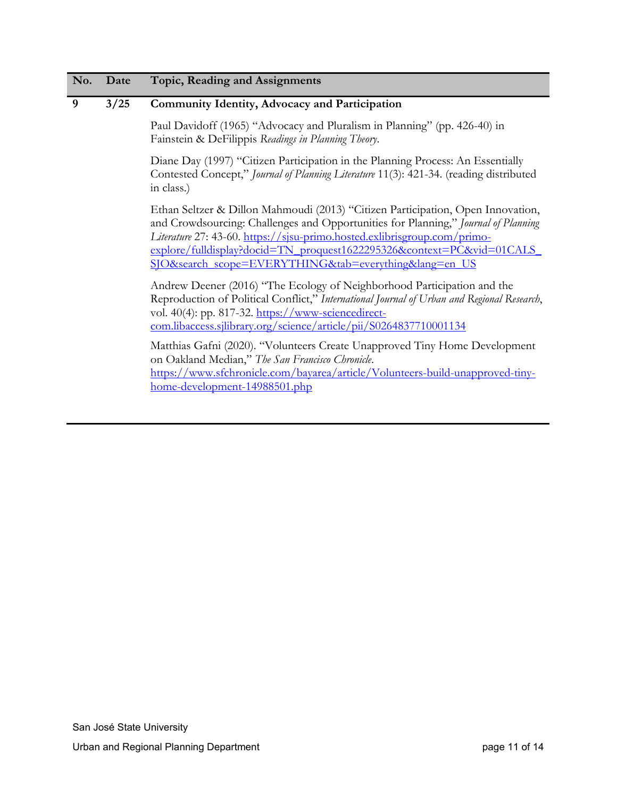#### **9 3/25 Community Identity, Advocacy and Participation**

Paul Davidoff (1965) "Advocacy and Pluralism in Planning" (pp. 426-40) in Fainstein & DeFilippis *Readings in Planning Theory*.

Diane Day (1997) "Citizen Participation in the Planning Process: An Essentially Contested Concept," *Journal of Planning Literature* 11(3): 421-34. (reading distributed in class.)

Ethan Seltzer & Dillon Mahmoudi (2013) "Citizen Participation, Open Innovation, and Crowdsourcing: Challenges and Opportunities for Planning," *Journal of Planning Literature* 27: 43-60. [https://sjsu-primo.hosted.exlibrisgroup.com/primo](https://sjsu-primo.hosted.exlibrisgroup.com/primo-explore/fulldisplay?docid=TN_proquest1622295326&context=PC&vid=01CALS_SJO&search_scope=EVERYTHING&tab=everything&lang=en_US)explore/fulldisplay?docid=TN\_proquest1622295326&context=PC&vid=01CALS [SJO&search\\_scope=EVERYTHING&tab=everything&lang=en\\_US](https://sjsu-primo.hosted.exlibrisgroup.com/primo-explore/fulldisplay?docid=TN_proquest1622295326&context=PC&vid=01CALS_SJO&search_scope=EVERYTHING&tab=everything&lang=en_US)

Andrew Deener (2016) "The Ecology of Neighborhood Participation and the Reproduction of Political Conflict," *International Journal of Urban and Regional Research*, vol. 40(4): pp. 817-32. [https://www-sciencedirect](https://www-sciencedirect-com.libaccess.sjlibrary.org/science/article/pii/S0264837710001134)[com.libaccess.sjlibrary.org/science/article/pii/S0264837710001134](https://www-sciencedirect-com.libaccess.sjlibrary.org/science/article/pii/S0264837710001134)

Matthias Gafni (2020). "Volunteers Create Unapproved Tiny Home Development on Oakland Median," *The San Francisco Chronicle*. [https://www.sfchronicle.com/bayarea/article/Volunteers-build-unapproved-tiny](https://www.sfchronicle.com/bayarea/article/Volunteers-build-unapproved-tiny-home-development-14988501.php)[home-development-14988501.php](https://www.sfchronicle.com/bayarea/article/Volunteers-build-unapproved-tiny-home-development-14988501.php)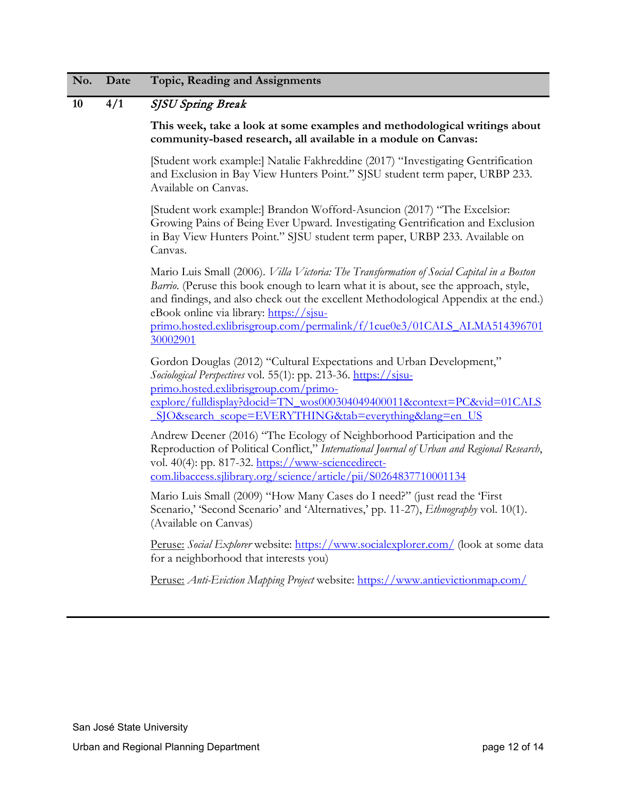#### **10 4/1** SJSU Spring Break

**This week, take a look at some examples and methodological writings about community-based research, all available in a module on Canvas:**

[Student work example:] Natalie Fakhreddine (2017) "Investigating Gentrification and Exclusion in Bay View Hunters Point." SJSU student term paper, URBP 233. Available on Canvas.

[Student work example:] Brandon Wofford-Asuncion (2017) "The Excelsior: Growing Pains of Being Ever Upward. Investigating Gentrification and Exclusion in Bay View Hunters Point." SJSU student term paper, URBP 233. Available on Canvas.

Mario Luis Small (2006). *Villa Victoria: The Transformation of Social Capital in a Boston Barrio*. (Peruse this book enough to learn what it is about, see the approach, style, and findings, and also check out the excellent Methodological Appendix at the end.) eBook online via library: [https://sjsu-](https://sjsu-primo.hosted.exlibrisgroup.com/permalink/f/1cue0e3/01CALS_ALMA51439670130002901)

[primo.hosted.exlibrisgroup.com/permalink/f/1cue0e3/01CALS\\_ALMA514396701](https://sjsu-primo.hosted.exlibrisgroup.com/permalink/f/1cue0e3/01CALS_ALMA51439670130002901) [30002901](https://sjsu-primo.hosted.exlibrisgroup.com/permalink/f/1cue0e3/01CALS_ALMA51439670130002901)

Gordon Douglas (2012) "Cultural Expectations and Urban Development," *Sociological Perspectives* vol. 55(1): pp. 213-36. [https://sjsu](https://sjsu-primo.hosted.exlibrisgroup.com/primo-explore/fulldisplay?docid=TN_wos000304049400011&context=PC&vid=01CALS_SJO&search_scope=EVERYTHING&tab=everything&lang=en_US)[primo.hosted.exlibrisgroup.com/primo](https://sjsu-primo.hosted.exlibrisgroup.com/primo-explore/fulldisplay?docid=TN_wos000304049400011&context=PC&vid=01CALS_SJO&search_scope=EVERYTHING&tab=everything&lang=en_US)[explore/fulldisplay?docid=TN\\_wos000304049400011&context=PC&vid=01CALS](https://sjsu-primo.hosted.exlibrisgroup.com/primo-explore/fulldisplay?docid=TN_wos000304049400011&context=PC&vid=01CALS_SJO&search_scope=EVERYTHING&tab=everything&lang=en_US) [\\_SJO&search\\_scope=EVERYTHING&tab=everything&lang=en\\_US](https://sjsu-primo.hosted.exlibrisgroup.com/primo-explore/fulldisplay?docid=TN_wos000304049400011&context=PC&vid=01CALS_SJO&search_scope=EVERYTHING&tab=everything&lang=en_US)

Andrew Deener (2016) "The Ecology of Neighborhood Participation and the Reproduction of Political Conflict," *International Journal of Urban and Regional Research*, vol. 40(4): pp. 817-32. [https://www-sciencedirect](https://www-sciencedirect-com.libaccess.sjlibrary.org/science/article/pii/S0264837710001134)[com.libaccess.sjlibrary.org/science/article/pii/S0264837710001134](https://www-sciencedirect-com.libaccess.sjlibrary.org/science/article/pii/S0264837710001134)

Mario Luis Small (2009) "How Many Cases do I need?" (just read the 'First Scenario,' 'Second Scenario' and 'Alternatives,' pp. 11-27), *Ethnography* vol. 10(1). (Available on Canvas)

Peruse: *Social Explorer* website:<https://www.socialexplorer.com/> (look at some data for a neighborhood that interests you)

Peruse: *Anti-Eviction Mapping Project* website:<https://www.antievictionmap.com/>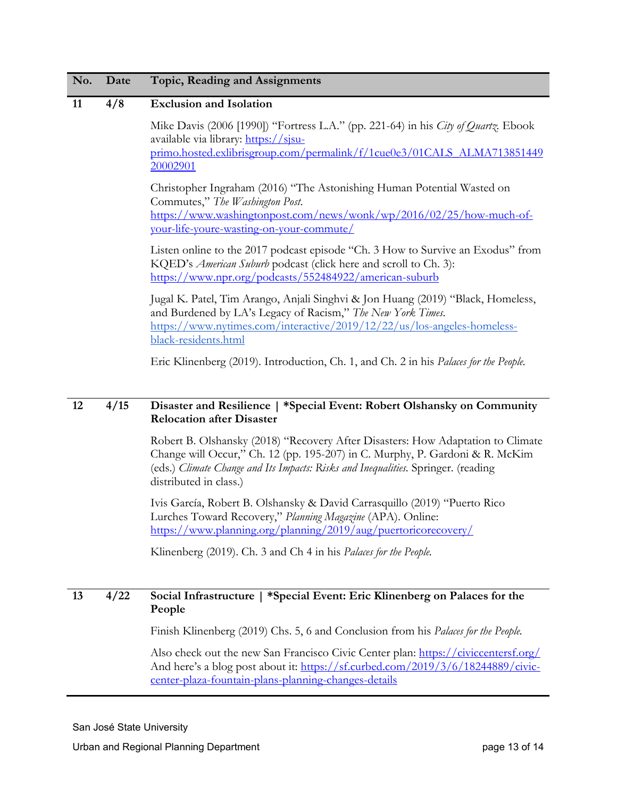#### **11 4/8 Exclusion and Isolation**

Mike Davis (2006 [1990]) "Fortress L.A." (pp. 221-64) in his *City of Quartz.* Ebook available via library: [https://sjsu](https://sjsu-primo.hosted.exlibrisgroup.com/permalink/f/1cue0e3/01CALS_ALMA71385144920002901)[primo.hosted.exlibrisgroup.com/permalink/f/1cue0e3/01CALS\\_ALMA713851449](https://sjsu-primo.hosted.exlibrisgroup.com/permalink/f/1cue0e3/01CALS_ALMA71385144920002901) [20002901](https://sjsu-primo.hosted.exlibrisgroup.com/permalink/f/1cue0e3/01CALS_ALMA71385144920002901)

Christopher Ingraham (2016) "The Astonishing Human Potential Wasted on Commutes," *The Washington Post*. [https://www.washingtonpost.com/news/wonk/wp/2016/02/25/how-much-of](https://www.washingtonpost.com/news/wonk/wp/2016/02/25/how-much-of-your-life-youre-wasting-on-your-commute/)[your-life-youre-wasting-on-your-commute/](https://www.washingtonpost.com/news/wonk/wp/2016/02/25/how-much-of-your-life-youre-wasting-on-your-commute/)

Listen online to the 2017 podcast episode "Ch. 3 How to Survive an Exodus" from KQED's *American Suburb* podcast (click here and scroll to Ch. 3): <https://www.npr.org/podcasts/552484922/american-suburb>

Jugal K. Patel, Tim Arango, Anjali Singhvi & Jon Huang (2019) "Black, Homeless, and Burdened by LA's Legacy of Racism," *The New York Times*. [https://www.nytimes.com/interactive/2019/12/22/us/los-angeles-homeless](https://www.nytimes.com/interactive/2019/12/22/us/los-angeles-homeless-black-residents.html)[black-residents.html](https://www.nytimes.com/interactive/2019/12/22/us/los-angeles-homeless-black-residents.html)

Eric Klinenberg (2019). Introduction, Ch. 1, and Ch. 2 in his *Palaces for the People.*

#### **12 4/15 Disaster and Resilience | \*Special Event: Robert Olshansky on Community Relocation after Disaster**

Robert B. Olshansky (2018) "Recovery After Disasters: How Adaptation to Climate Change will Occur," Ch. 12 (pp. 195-207) in C. Murphy, P. Gardoni & R. McKim (eds.) *Climate Change and Its Impacts: Risks and Inequalities.* Springer. (reading distributed in class.)

Ivis García, Robert B. Olshansky & David Carrasquillo (2019) "Puerto Rico Lurches Toward Recovery," *Planning Magazine* (APA). Online: <https://www.planning.org/planning/2019/aug/puertoricorecovery/>

Klinenberg (2019). Ch. 3 and Ch 4 in his *Palaces for the People.*

#### **13 4/22 Social Infrastructure | \*Special Event: Eric Klinenberg on Palaces for the People**

Finish Klinenberg (2019) Chs. 5, 6 and Conclusion from his *Palaces for the People.*

Also check out the new San Francisco Civic Center plan:<https://civiccentersf.org/> And here's a blog post about it: [https://sf.curbed.com/2019/3/6/18244889/civic](https://sf.curbed.com/2019/3/6/18244889/civic-center-plaza-fountain-plans-planning-changes-details)[center-plaza-fountain-plans-planning-changes-details](https://sf.curbed.com/2019/3/6/18244889/civic-center-plaza-fountain-plans-planning-changes-details)

San José State University

Urban and Regional Planning Department **page 13 of 14** and 13 of 14